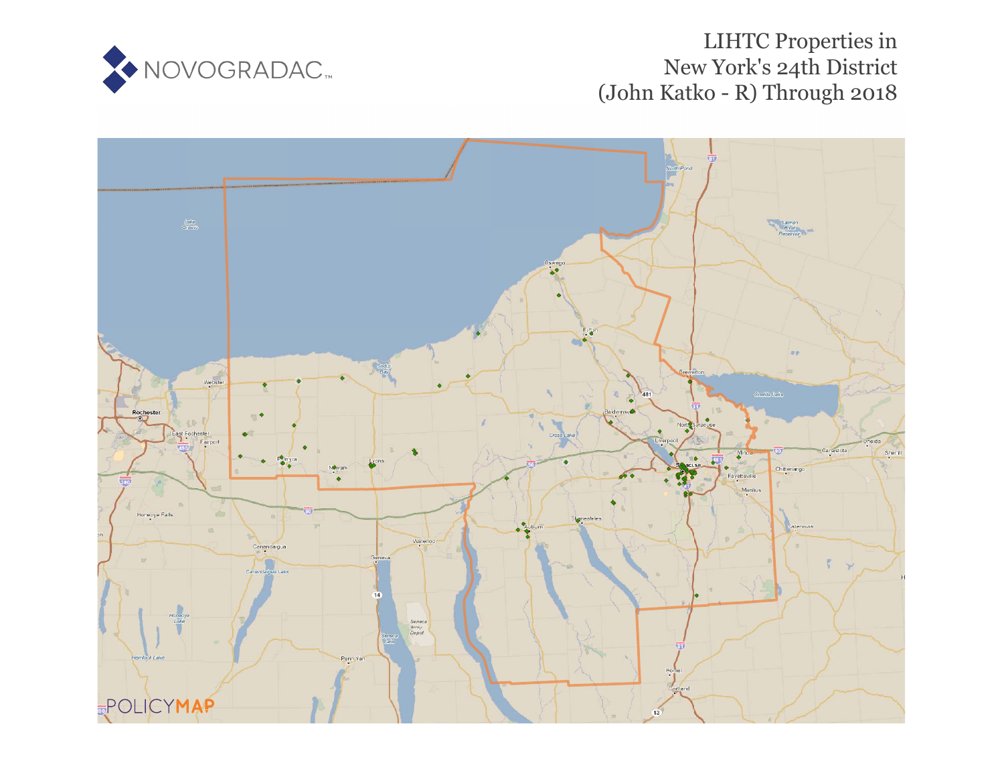

# LIHTC Properties in New York's 24th District (John Katko - R) Through 2018

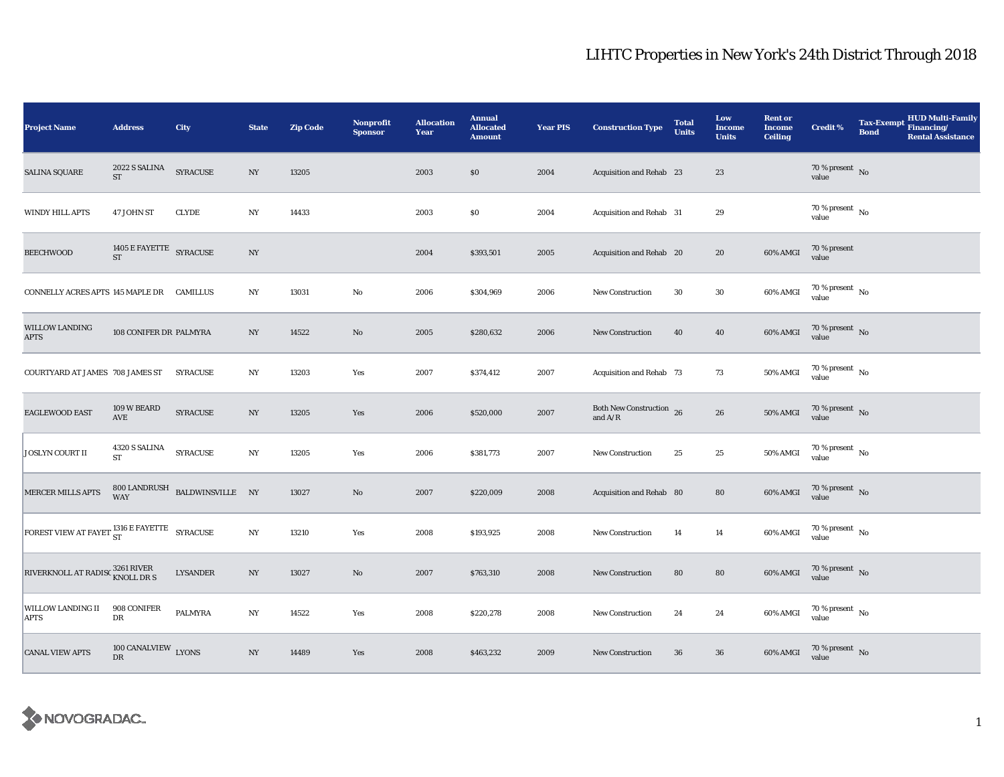| <b>Project Name</b>                                     | <b>Address</b>                       | City                                          | <b>State</b>     | <b>Zip Code</b> | <b>Nonprofit</b><br><b>Sponsor</b> | <b>Allocation</b><br>Year | <b>Annual</b><br><b>Allocated</b><br><b>Amount</b> | <b>Year PIS</b> | <b>Construction Type</b>                                                          | <b>Total</b><br><b>Units</b> | Low<br><b>Income</b><br><b>Units</b> | <b>Rent or</b><br><b>Income</b><br><b>Ceiling</b> | <b>Credit %</b>                          | <b>Tax-Exempt</b><br><b>Bond</b> | <b>HUD Multi-Family</b><br>Financing/<br><b>Rental Assistance</b> |
|---------------------------------------------------------|--------------------------------------|-----------------------------------------------|------------------|-----------------|------------------------------------|---------------------------|----------------------------------------------------|-----------------|-----------------------------------------------------------------------------------|------------------------------|--------------------------------------|---------------------------------------------------|------------------------------------------|----------------------------------|-------------------------------------------------------------------|
| <b>SALINA SQUARE</b>                                    | 2022 S SALINA<br>ST                  | <b>SYRACUSE</b>                               | NY               | 13205           |                                    | 2003                      | \$0                                                | 2004            | Acquisition and Rehab 23                                                          |                              | 23                                   |                                                   | $70\,\%$ present $\,$ No value           |                                  |                                                                   |
| WINDY HILL APTS                                         | 47 JOHN ST                           | <b>CLYDE</b>                                  | NY               | 14433           |                                    | 2003                      | \$0                                                | 2004            | Acquisition and Rehab 31                                                          |                              | 29                                   |                                                   | $70\%$ present $\overline{N_0}$<br>value |                                  |                                                                   |
| <b>BEECHWOOD</b>                                        | 1405 E FAYETTE SYRACUSE<br><b>ST</b> |                                               | $_{\mathrm{NY}}$ |                 |                                    | 2004                      | \$393,501                                          | 2005            | Acquisition and Rehab 20                                                          |                              | 20                                   | 60% AMGI                                          | 70 % present<br>value                    |                                  |                                                                   |
| CONNELLY ACRES APTS 145 MAPLE DR CAMILLUS               |                                      |                                               | NY               | 13031           | No                                 | 2006                      | \$304,969                                          | 2006            | New Construction                                                                  | 30                           | 30                                   | 60% AMGI                                          | 70 % present $\hbox{~No}$<br>value       |                                  |                                                                   |
| <b>WILLOW LANDING</b><br><b>APTS</b>                    | 108 CONIFER DR PALMYRA               |                                               | $_{\mathrm{NY}}$ | 14522           | No                                 | 2005                      | \$280,632                                          | 2006            | <b>New Construction</b>                                                           | 40                           | 40                                   | 60% AMGI                                          | $70$ % present $$\rm{No}$$ value         |                                  |                                                                   |
| COURTYARD AT JAMES 708 JAMES ST                         |                                      | <b>SYRACUSE</b>                               | NY               | 13203           | Yes                                | 2007                      | \$374,412                                          | 2007            | Acquisition and Rehab 73                                                          |                              | 73                                   | 50% AMGI                                          | $70$ % present $\,$ No $\,$<br>value     |                                  |                                                                   |
| <b>EAGLEWOOD EAST</b>                                   | 109 W BEARD<br>AVE                   | <b>SYRACUSE</b>                               | $_{\mathrm{NY}}$ | 13205           | Yes                                | 2006                      | \$520,000                                          | 2007            | Both New Construction 26<br>and $\ensuremath{\mathrm{A}}/\ensuremath{\mathrm{R}}$ |                              | ${\bf 26}$                           | 50% AMGI                                          | $70\,\%$ present $\,$ No value           |                                  |                                                                   |
| <b>JOSLYN COURT II</b>                                  | 4320 S SALINA<br><b>ST</b>           | <b>SYRACUSE</b>                               | $_{\mathrm{NY}}$ | 13205           | Yes                                | 2006                      | \$381,773                                          | 2007            | <b>New Construction</b>                                                           | 25                           | 25                                   | 50% AMGI                                          | $70\,\%$ present $\,$ No value           |                                  |                                                                   |
| MERCER MILLS APTS                                       |                                      | $800$ LANDRUSH $\;$ BALDWINSVILLE $\;$ NY WAY |                  | 13027           | No                                 | 2007                      | \$220,009                                          | 2008            | Acquisition and Rehab 80                                                          |                              | 80                                   | 60% AMGI                                          | $70$ % present $\,$ No $\,$<br>value     |                                  |                                                                   |
| FOREST VIEW AT FAYET <sup>1316</sup> E FAYETTE SYRACUSE |                                      |                                               | NY               | 13210           | Yes                                | 2008                      | \$193,925                                          | 2008            | New Construction                                                                  | 14                           | 14                                   | 60% AMGI                                          | $70\,\%$ present $\,$ No value           |                                  |                                                                   |
| RIVERKNOLL AT RADISC 3261 RIVER<br>KNOLL DR S           |                                      | <b>LYSANDER</b>                               | NY               | 13027           | No                                 | 2007                      | \$763,310                                          | 2008            | New Construction                                                                  | 80                           | ${\bf 80}$                           | 60% AMGI                                          | $70\%$ present No<br>value               |                                  |                                                                   |
| WILLOW LANDING II<br>APTS                               | 908 CONIFER<br>DR                    | <b>PALMYRA</b>                                | NY               | 14522           | Yes                                | 2008                      | \$220,278                                          | 2008            | <b>New Construction</b>                                                           | 24                           | 24                                   | 60% AMGI                                          | $70\,\%$ present $\,$ No value           |                                  |                                                                   |
| <b>CANAL VIEW APTS</b>                                  | 100 CANALVIEW LYONS<br>DR            |                                               | NY               | 14489           | Yes                                | 2008                      | \$463,232                                          | 2009            | <b>New Construction</b>                                                           | 36                           | ${\bf 36}$                           | 60% AMGI                                          | $70\,\%$ present $\,$ No value           |                                  |                                                                   |

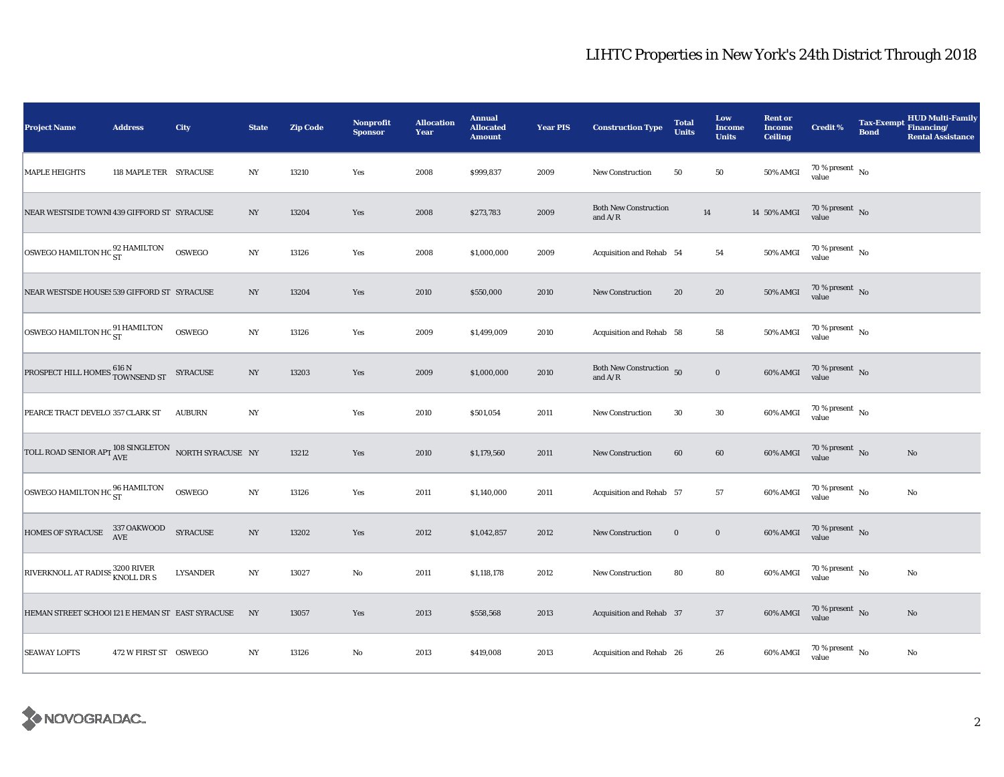| <b>Project Name</b>                                                       | <b>Address</b>         | City            | <b>State</b>     | <b>Zip Code</b> | <b>Nonprofit</b><br><b>Sponsor</b> | <b>Allocation</b><br>Year | <b>Annual</b><br><b>Allocated</b><br><b>Amount</b> | <b>Year PIS</b> | <b>Construction Type</b>                  | <b>Total</b><br><b>Units</b> | Low<br><b>Income</b><br><b>Units</b> | <b>Rent or</b><br><b>Income</b><br><b>Ceiling</b> | <b>Credit %</b>                        | <b>Bond</b> | <b>HUD Multi-Family</b><br>Tax-Exempt Financing/<br><b>Rental Assistance</b> |
|---------------------------------------------------------------------------|------------------------|-----------------|------------------|-----------------|------------------------------------|---------------------------|----------------------------------------------------|-----------------|-------------------------------------------|------------------------------|--------------------------------------|---------------------------------------------------|----------------------------------------|-------------|------------------------------------------------------------------------------|
| <b>MAPLE HEIGHTS</b>                                                      | 118 MAPLE TER SYRACUSE |                 | $_{\mathrm{NY}}$ | 13210           | Yes                                | 2008                      | \$999,837                                          | 2009            | <b>New Construction</b>                   | 50                           | ${\bf 50}$                           | <b>50% AMGI</b>                                   | $70\,\%$ present $\,$ No value         |             |                                                                              |
| NEAR WESTSIDE TOWNI 439 GIFFORD ST SYRACUSE                               |                        |                 | NY               | 13204           | Yes                                | 2008                      | \$273,783                                          | 2009            | <b>Both New Construction</b><br>and $A/R$ | $14\,$                       |                                      | 14 50% AMGI                                       | 70 % present $\,$ No $\,$<br>value     |             |                                                                              |
| OSWEGO HAMILTON HC ST                                                     |                        | OSWEGO          | $_{\mathrm{NY}}$ | 13126           | Yes                                | 2008                      | \$1,000,000                                        | 2009            | Acquisition and Rehab 54                  |                              | 54                                   | 50% AMGI                                          | $70$ % present $\,$ No $\,$<br>value   |             |                                                                              |
| NEAR WESTSDE HOUSE: 539 GIFFORD ST SYRACUSE                               |                        |                 | NY               | 13204           | Yes                                | 2010                      | \$550,000                                          | 2010            | New Construction                          | 20                           | ${\bf 20}$                           | 50% AMGI                                          | $70\,\%$ present $\,$ No value         |             |                                                                              |
| OSWEGO HAMILTON HC <sup>91</sup> HAMILTON                                 |                        | OSWEGO          | NY               | 13126           | Yes                                | 2009                      | \$1,499,009                                        | 2010            | Acquisition and Rehab 58                  |                              | 58                                   | 50% AMGI                                          | $70\,\%$ present $\,$ No $\,$<br>value |             |                                                                              |
| PROSPECT HILL HOMES $\frac{616 \text{ N}}{\text{TOWNSEND ST}}$ SYRACUSE   |                        |                 | $_{\mathrm{NY}}$ | 13203           | Yes                                | 2009                      | \$1,000,000                                        | 2010            | Both New Construction 50<br>and $A/R$     |                              | $\mathbf 0$                          | 60% AMGI                                          | $70\,\%$ present $\,$ No value         |             |                                                                              |
| PEARCE TRACT DEVELO 357 CLARK ST                                          |                        | <b>AUBURN</b>   | $_{\mathrm{NY}}$ |                 | Yes                                | 2010                      | \$501,054                                          | 2011            | New Construction                          | 30                           | $30\,$                               | 60% AMGI                                          | $70\,\%$ present $\,$ No value         |             |                                                                              |
| TOLL ROAD SENIOR APT $\frac{108}{\text{AVE}}$ SINGLETON NORTH SYRACUSE NY |                        |                 |                  | 13212           | Yes                                | 2010                      | \$1,179,560                                        | 2011            | New Construction                          | 60                           | $\bf{60}$                            | 60% AMGI                                          | $70\,\%$ present $\,$ No value         |             | No                                                                           |
| OSWEGO HAMILTON HC $_{\rm ST}^{96\, \rm HAMILTON}$                        |                        | OSWEGO          | $_{\mathrm{NY}}$ | 13126           | Yes                                | 2011                      | \$1,140,000                                        | 2011            | Acquisition and Rehab 57                  |                              | ${\bf 57}$                           | 60% AMGI                                          | $70\,\%$ present $\,$ No value         |             | No                                                                           |
| HOMES OF SYRACUSE 337 OAKWOOD                                             |                        | <b>SYRACUSE</b> | $_{\mathrm{NY}}$ | 13202           | Yes                                | 2012                      | \$1,042,857                                        | 2012            | <b>New Construction</b>                   | $\bf{0}$                     | $\mathbf 0$                          | 60% AMGI                                          | $70\,\%$ present $\,$ No value         |             |                                                                              |
| RIVERKNOLL AT RADISS 3200 RIVER                                           |                        | <b>LYSANDER</b> | $_{\mathrm{NY}}$ | 13027           | $\rm No$                           | 2011                      | \$1,118,178                                        | 2012            | <b>New Construction</b>                   | 80                           | 80                                   | 60% AMGI                                          | $70\,\%$ present $\,$ No value         |             | No                                                                           |
| HEMAN STREET SCHOOL121 E HEMAN ST EAST SYRACUSE                           |                        |                 | NY               | 13057           | Yes                                | 2013                      | \$558,568                                          | 2013            | Acquisition and Rehab 37                  |                              | 37                                   | 60% AMGI                                          | $70\,\%$ present $\,$ No value         |             | No                                                                           |
| <b>SEAWAY LOFTS</b>                                                       | 472 W FIRST ST OSWEGO  |                 | NY               | 13126           | No                                 | 2013                      | \$419,008                                          | 2013            | Acquisition and Rehab 26                  |                              | 26                                   | 60% AMGI                                          | 70 % present $\hbox{~No}$<br>value     |             | No                                                                           |

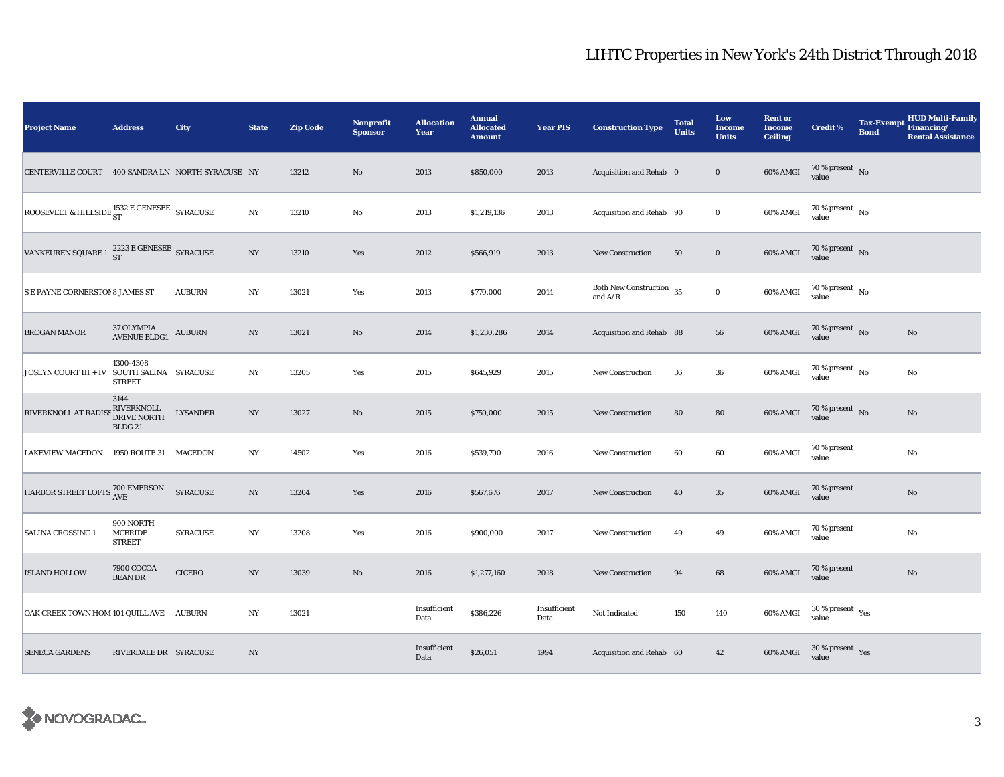| <b>Project Name</b>                                      | <b>Address</b>                               | City            | <b>State</b>     | <b>Zip Code</b> | Nonprofit<br><b>Sponsor</b> | <b>Allocation</b><br>Year | <b>Annual</b><br><b>Allocated</b><br><b>Amount</b> | <b>Year PIS</b>      | <b>Construction Type</b>                                                               | <b>Total</b><br><b>Units</b> | Low<br><b>Income</b><br><b>Units</b> | <b>Rent or</b><br><b>Income</b><br><b>Ceiling</b> | <b>Credit %</b>                        | <b>Tax-Exempt</b><br><b>Bond</b> | <b>HUD Multi-Family</b><br>Financing/<br><b>Rental Assistance</b> |
|----------------------------------------------------------|----------------------------------------------|-----------------|------------------|-----------------|-----------------------------|---------------------------|----------------------------------------------------|----------------------|----------------------------------------------------------------------------------------|------------------------------|--------------------------------------|---------------------------------------------------|----------------------------------------|----------------------------------|-------------------------------------------------------------------|
| CENTERVILLE COURT 400 SANDRA LN NORTH SYRACUSE NY        |                                              |                 |                  | 13212           | $\rm No$                    | 2013                      | \$850,000                                          | 2013                 | Acquisition and Rehab 0                                                                |                              | $\bf{0}$                             | 60% AMGI                                          | $70\,\%$ present $\,$ No value         |                                  |                                                                   |
| ROOSEVELT & HILLSIDE $^{1532}_{ST}$ E GENESEE SYRACUSE   |                                              |                 | $_{\mathrm{NY}}$ | 13210           | No                          | 2013                      | \$1,219,136                                        | 2013                 | Acquisition and Rehab 90                                                               |                              | $\bf{0}$                             | 60% AMGI                                          | $70\,\%$ present $\,$ No $\,$<br>value |                                  |                                                                   |
| VANKEUREN SQUARE 1 $^{2223}_{\rm ST}$ E GENESEE SYRACUSE |                                              |                 | $_{\mathrm{NY}}$ | 13210           | Yes                         | 2012                      | \$566,919                                          | 2013                 | <b>New Construction</b>                                                                | 50                           | $\mathbf 0$                          | 60% AMGI                                          | $70\,\%$ present $\,$ No value         |                                  |                                                                   |
| <b>S E PAYNE CORNERSTON 8 JAMES ST</b>                   |                                              | <b>AUBURN</b>   | $_{\mathrm{NY}}$ | 13021           | Yes                         | 2013                      | \$770,000                                          | 2014                 | Both New Construction $\,$ 35<br>and $\ensuremath{\mathrm{A}}/\ensuremath{\mathrm{R}}$ |                              | $\mathbf 0$                          | 60% AMGI                                          | 70 % present $\hbox{~No}$<br>value     |                                  |                                                                   |
| <b>BROGAN MANOR</b>                                      | 37 OLYMPIA<br><b>AVENUE BLDG1</b>            | <b>AUBURN</b>   | NY               | 13021           | $\rm No$                    | 2014                      | \$1,230,286                                        | 2014                 | Acquisition and Rehab 88                                                               |                              | 56                                   | 60% AMGI                                          | 70 % present $\hbox{~No}$<br>value     |                                  | $\rm No$                                                          |
| JOSLYN COURT III + IV SOUTH SALINA SYRACUSE              | 1300-4308<br><b>STREET</b>                   |                 | $_{\mathrm{NY}}$ | 13205           | Yes                         | 2015                      | \$645,929                                          | 2015                 | New Construction                                                                       | 36                           | 36                                   | 60% AMGI                                          | 70 % present $\hbox{~No}$<br>value     |                                  | No                                                                |
| RIVERKNOLL AT RADISS BIVERKNOLL<br>DRIVE NORTH           | 3144<br>BLDG <sub>21</sub>                   | <b>LYSANDER</b> | $_{\mathrm{NY}}$ | 13027           | $\rm No$                    | 2015                      | \$750,000                                          | 2015                 | New Construction                                                                       | 80                           | ${\bf 80}$                           | 60% AMGI                                          | $70\,\%$ present $\,$ No value         |                                  | $\mathbf{No}$                                                     |
| <b>LAKEVIEW MACEDON</b>                                  | 1950 ROUTE 31 MACEDON                        |                 | $_{\mathrm{NY}}$ | 14502           | Yes                         | 2016                      | \$539,700                                          | 2016                 | New Construction                                                                       | 60                           | 60                                   | 60% AMGI                                          | 70 % present<br>value                  |                                  | $\rm No$                                                          |
| HARBOR STREET LOFTS 700 EMERSON                          |                                              | <b>SYRACUSE</b> | $_{\mathrm{NY}}$ | 13204           | Yes                         | 2016                      | \$567,676                                          | 2017                 | New Construction                                                                       | 40                           | 35                                   | 60% AMGI                                          | 70 % present<br>value                  |                                  | $\mathbf{No}$                                                     |
| <b>SALINA CROSSING 1</b>                                 | 900 NORTH<br><b>MCBRIDE</b><br><b>STREET</b> | <b>SYRACUSE</b> | NY               | 13208           | Yes                         | 2016                      | \$900,000                                          | 2017                 | <b>New Construction</b>                                                                | 49                           | 49                                   | 60% AMGI                                          | 70 % present<br>value                  |                                  | No                                                                |
| <b>ISLAND HOLLOW</b>                                     | 7900 COCOA<br><b>BEAN DR</b>                 | <b>CICERO</b>   | NY               | 13039           | $\rm No$                    | 2016                      | \$1,277,160                                        | 2018                 | <b>New Construction</b>                                                                | 94                           | $\bf 68$                             | 60% AMGI                                          | 70 % present<br>value                  |                                  | No                                                                |
| OAK CREEK TOWN HOM 101 QUILL AVE AUBURN                  |                                              |                 | $_{\mathrm{NY}}$ | 13021           |                             | Insufficient<br>Data      | \$386,226                                          | Insufficient<br>Data | Not Indicated                                                                          | 150                          | 140                                  | 60% AMGI                                          | $30\,\%$ present $\,$ Yes value        |                                  |                                                                   |
| <b>SENECA GARDENS</b>                                    | RIVERDALE DR SYRACUSE                        |                 | NY               |                 |                             | Insufficient<br>Data      | \$26,051                                           | 1994                 | Acquisition and Rehab 60                                                               |                              | 42                                   | 60% AMGI                                          | $30\,\%$ present $\,$ Yes value        |                                  |                                                                   |

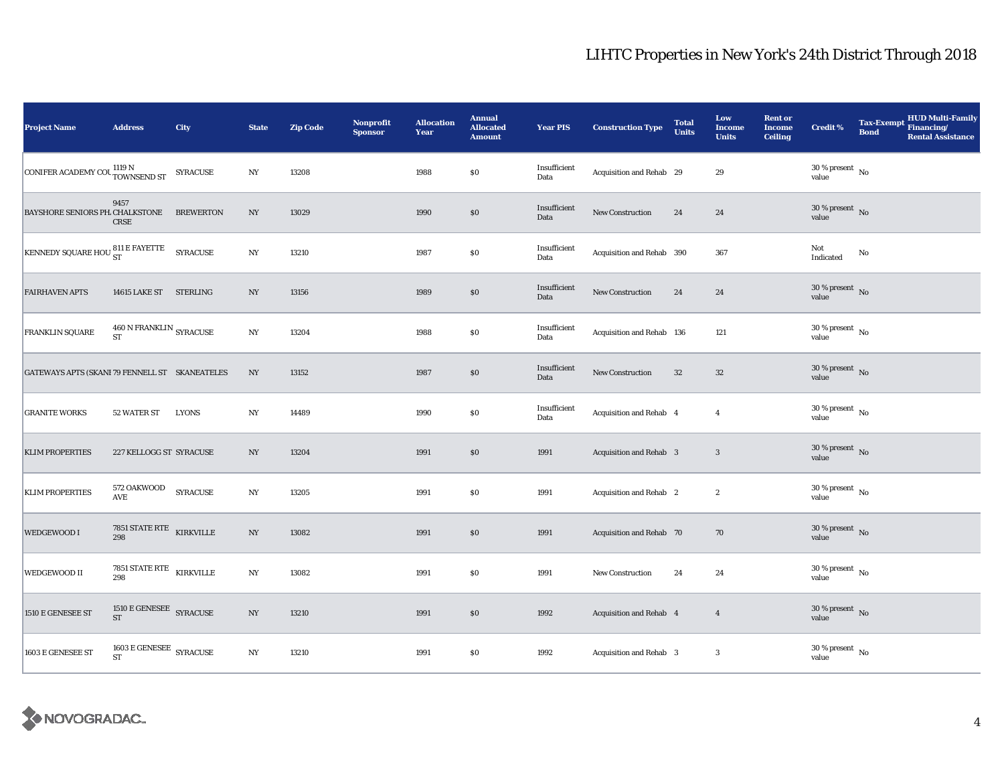| <b>Project Name</b>                            | <b>Address</b>                                             | <b>City</b>     | <b>State</b>     | <b>Zip Code</b> | <b>Nonprofit</b><br><b>Sponsor</b> | <b>Allocation</b><br>Year | <b>Annual</b><br><b>Allocated</b><br><b>Amount</b> | <b>Year PIS</b>      | <b>Construction Type</b>  | <b>Total</b><br><b>Units</b> | Low<br><b>Income</b><br><b>Units</b> | <b>Rent or</b><br><b>Income</b><br><b>Ceiling</b> | Credit %                               | <b>Bond</b> | Tax-Exempt HUD Multi-Family<br><b>Rental Assistance</b> |
|------------------------------------------------|------------------------------------------------------------|-----------------|------------------|-----------------|------------------------------------|---------------------------|----------------------------------------------------|----------------------|---------------------------|------------------------------|--------------------------------------|---------------------------------------------------|----------------------------------------|-------------|---------------------------------------------------------|
| CONIFER ACADEMY COUNTILE NOWNSEND ST           |                                                            | <b>SYRACUSE</b> | $_{\rm NY}$      | 13208           |                                    | 1988                      | $\$0$                                              | Insufficient<br>Data | Acquisition and Rehab 29  |                              | 29                                   |                                                   | $30\,\%$ present $\,$ No value         |             |                                                         |
| BAYSHORE SENIORS PH. CHALKSTONE BREWERTON      | 9457<br><b>CRSE</b>                                        |                 | NY               | 13029           |                                    | 1990                      | \$0                                                | Insufficient<br>Data | New Construction          | 24                           | 24                                   |                                                   | $30\,\%$ present $\,$ No value         |             |                                                         |
| <b>KENNEDY SQUARE HOU ST</b>                   |                                                            | SYRACUSE        | $_{\mathrm{NY}}$ | 13210           |                                    | 1987                      | \$0                                                | Insufficient<br>Data | Acquisition and Rehab 390 |                              | 367                                  |                                                   | Not<br>Indicated                       | No          |                                                         |
| <b>FAIRHAVEN APTS</b>                          | 14615 LAKE ST STERLING                                     |                 | $_{\mathrm{NY}}$ | 13156           |                                    | 1989                      | $\$0$                                              | Insufficient<br>Data | New Construction          | 24                           | 24                                   |                                                   | $30\,\%$ present $\,$ No value         |             |                                                         |
| FRANKLIN SQUARE                                | $460\,\mathrm{N}\,\mathrm{FRANKLIN}$ SYRACUSE<br><b>ST</b> |                 | $_{\mathrm{NY}}$ | 13204           |                                    | 1988                      | \$0                                                | Insufficient<br>Data | Acquisition and Rehab 136 |                              | 121                                  |                                                   | $30\,\%$ present $\,$ No value         |             |                                                         |
| GATEWAYS APTS (SKANI 79 FENNELL ST SKANEATELES |                                                            |                 | $_{\mathrm{NY}}$ | 13152           |                                    | 1987                      | $\$0$                                              | Insufficient<br>Data | <b>New Construction</b>   | $32\,$                       | $32\,$                               |                                                   | $30\,\%$ present $\,$ No value         |             |                                                         |
| <b>GRANITE WORKS</b>                           | 52 WATER ST                                                | <b>LYONS</b>    | $_{\mathrm{NY}}$ | 14489           |                                    | 1990                      | $\$0$                                              | Insufficient<br>Data | Acquisition and Rehab 4   |                              | $\overline{4}$                       |                                                   | $30\,\%$ present $\,$ No value         |             |                                                         |
| <b>KLIM PROPERTIES</b>                         | 227 KELLOGG ST SYRACUSE                                    |                 | $_{\mathrm{NY}}$ | 13204           |                                    | 1991                      | $\$0$                                              | 1991                 | Acquisition and Rehab 3   |                              | $\mathbf{3}$                         |                                                   | $30\,\%$ present $\,$ No value         |             |                                                         |
| <b>KLIM PROPERTIES</b>                         | 572 OAKWOOD<br>$\operatorname{\mathbf{AVE}}$               | <b>SYRACUSE</b> | $_{\mathrm{NY}}$ | 13205           |                                    | 1991                      | \$0                                                | 1991                 | Acquisition and Rehab 2   |                              | $\boldsymbol{2}$                     |                                                   | $30\,\%$ present $\,$ No $\,$<br>value |             |                                                         |
| <b>WEDGEWOOD I</b>                             | 7851 STATE RTE KIRKVILLE<br>298                            |                 | NY               | 13082           |                                    | 1991                      | \$0                                                | 1991                 | Acquisition and Rehab 70  |                              | 70                                   |                                                   | $30\,\%$ present $\,$ No value         |             |                                                         |
| <b>WEDGEWOOD II</b>                            | 7851 STATE RTE $$\tt KIRKVILLE$$<br>298                    |                 | $_{\mathrm{NY}}$ | 13082           |                                    | 1991                      | \$0                                                | 1991                 | New Construction          | 24                           | 24                                   |                                                   | $30\,\%$ present $\,$ No value         |             |                                                         |
| 1510 E GENESEE ST                              | $1510 \to \mathrm{GENESEE}$ SYRACUSE<br>ST                 |                 | $_{\mathrm{NY}}$ | 13210           |                                    | 1991                      | \$0                                                | 1992                 | Acquisition and Rehab 4   |                              | $\overline{4}$                       |                                                   | $30\,\%$ present $\,$ No value         |             |                                                         |
| 1603 E GENESEE ST                              | 1603 E GENESEE $\,$ SYRACUSE<br><b>ST</b>                  |                 | $_{\mathrm{NY}}$ | 13210           |                                    | 1991                      | \$0                                                | 1992                 | Acquisition and Rehab 3   |                              | $\mathbf{3}$                         |                                                   | $30\,\%$ present $\,$ No value         |             |                                                         |

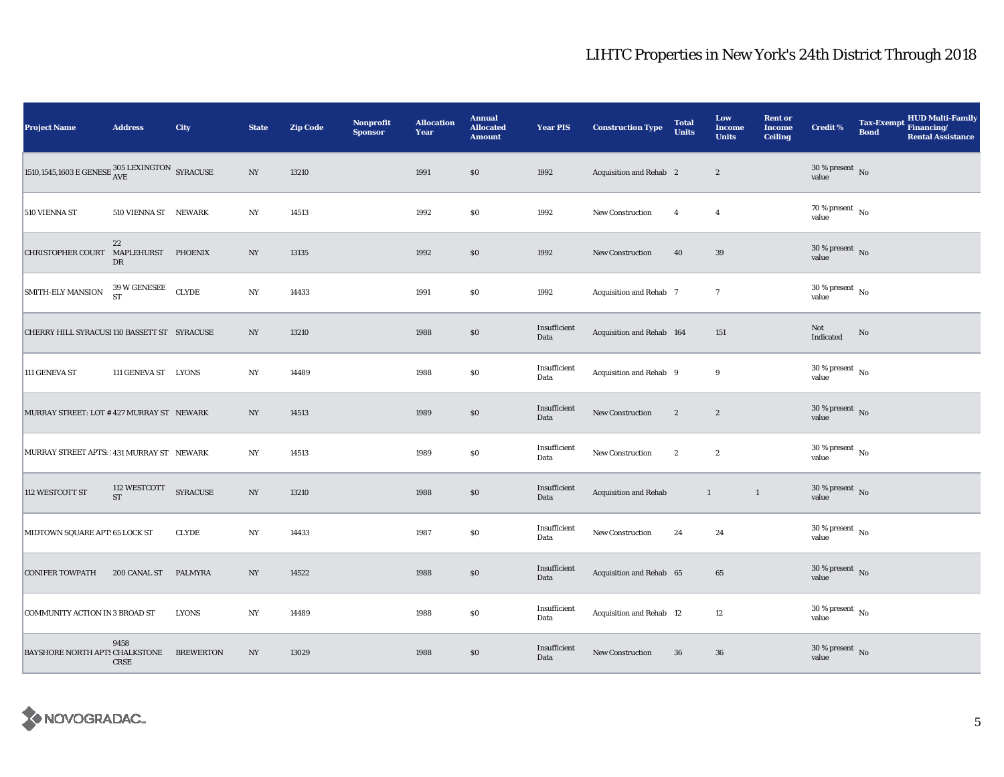| <b>Project Name</b>                          | <b>Address</b>                          | City             | <b>State</b>             | <b>Zip Code</b> | <b>Nonprofit</b><br><b>Sponsor</b> | <b>Allocation</b><br>Year | <b>Annual</b><br><b>Allocated</b><br><b>Amount</b> | <b>Year PIS</b>      | <b>Construction Type</b>     | <b>Total</b><br><b>Units</b> | Low<br><b>Income</b><br><b>Units</b> | <b>Rent or</b><br><b>Income</b><br><b>Ceiling</b> | <b>Credit %</b>                        | <b>Tax-Exempt</b><br><b>Bond</b> | HUD Multi-Family<br>Financing/<br><b>Rental Assistance</b> |
|----------------------------------------------|-----------------------------------------|------------------|--------------------------|-----------------|------------------------------------|---------------------------|----------------------------------------------------|----------------------|------------------------------|------------------------------|--------------------------------------|---------------------------------------------------|----------------------------------------|----------------------------------|------------------------------------------------------------|
|                                              |                                         |                  | $\ensuremath{\text{NY}}$ | 13210           |                                    | 1991                      | \$0                                                | 1992                 | Acquisition and Rehab 2      |                              | $\boldsymbol{2}$                     |                                                   | $30\,\%$ present $\,$ No value         |                                  |                                                            |
| 510 VIENNA ST                                | 510 VIENNA ST NEWARK                    |                  | $_{\mathrm{NY}}$         | 14513           |                                    | 1992                      | $\$0$                                              | 1992                 | <b>New Construction</b>      | $\overline{4}$               | $\overline{4}$                       |                                                   | $70\,\%$ present $\,$ No $\,$<br>value |                                  |                                                            |
| CHRISTOPHER COURT MAPLEHURST PHOENIX         | 22<br>DR                                |                  | NY                       | 13135           |                                    | 1992                      | \$0                                                | 1992                 | New Construction             | 40                           | 39                                   |                                                   | $30\,\%$ present $\,$ No value         |                                  |                                                            |
| <b>SMITH-ELY MANSION</b>                     | $39\,\rm{W}$ GENESEE CLYDE<br><b>ST</b> |                  | NY                       | 14433           |                                    | 1991                      | \$0                                                | 1992                 | Acquisition and Rehab 7      |                              | $\overline{7}$                       |                                                   | $30$ % present $\,$ No $\,$<br>value   |                                  |                                                            |
| CHERRY HILL SYRACUSI 110 BASSETT ST SYRACUSE |                                         |                  | $_{\mathrm{NY}}$         | 13210           |                                    | 1988                      | $\$0$                                              | Insufficient<br>Data | Acquisition and Rehab 164    |                              | 151                                  |                                                   | Not<br>Indicated                       | $\mathbf{No}$                    |                                                            |
| 111 GENEVA ST                                | 111 GENEVA ST LYONS                     |                  | NY                       | 14489           |                                    | 1988                      | $\$0$                                              | Insufficient<br>Data | Acquisition and Rehab 9      |                              | 9                                    |                                                   | $30$ % present $\,$ No $\,$<br>value   |                                  |                                                            |
| MURRAY STREET: LOT #427 MURRAY ST NEWARK     |                                         |                  | NY                       | 14513           |                                    | 1989                      | \$0                                                | Insufficient<br>Data | New Construction             | $\boldsymbol{2}$             | $\boldsymbol{2}$                     |                                                   | $30\,\%$ present $\,$ No value         |                                  |                                                            |
| MURRAY STREET APTS:   431 MURRAY ST NEWARK   |                                         |                  | $_{\mathrm{NY}}$         | 14513           |                                    | 1989                      | $\$0$                                              | Insufficient<br>Data | New Construction             | $\boldsymbol{2}$             | $\boldsymbol{2}$                     |                                                   | $30\,\%$ present $\,$ No value         |                                  |                                                            |
| 112 WESTCOTT ST                              | 112 WESTCOTT<br><b>ST</b>               | <b>SYRACUSE</b>  | $_{\mathrm{NY}}$         | 13210           |                                    | 1988                      | $\$0$                                              | Insufficient<br>Data | <b>Acquisition and Rehab</b> | $\mathbf{1}$                 | $\mathbf{1}$                         |                                                   | $30\%$ present No<br>value             |                                  |                                                            |
| MIDTOWN SQUARE APT: 65 LOCK ST               |                                         | <b>CLYDE</b>     | $_{\mathrm{NY}}$         | 14433           |                                    | 1987                      | $\$0$                                              | Insufficient<br>Data | New Construction             | 24                           | 24                                   |                                                   | $30$ % present $\,$ No $\,$<br>value   |                                  |                                                            |
| <b>CONIFER TOWPATH</b>                       | 200 CANAL ST                            | <b>PALMYRA</b>   | NY                       | 14522           |                                    | 1988                      | \$0                                                | Insufficient<br>Data | Acquisition and Rehab 65     |                              | 65                                   |                                                   | $30\,\%$ present $\,$ No value         |                                  |                                                            |
| COMMUNITY ACTION IN 3 BROAD ST               |                                         | <b>LYONS</b>     | $_{\mathrm{NY}}$         | 14489           |                                    | 1988                      | \$0                                                | Insufficient<br>Data | Acquisition and Rehab 12     |                              | 12                                   |                                                   | $30$ % present $\,$ No $\,$<br>value   |                                  |                                                            |
| BAYSHORE NORTH APTS CHALKSTONE               | 9458<br>CRSE                            | <b>BREWERTON</b> | $_{\mathrm{NY}}$         | 13029           |                                    | 1988                      | $\$0$                                              | Insufficient<br>Data | New Construction             | 36                           | 36                                   |                                                   | $30\,\%$ present $\,$ No value         |                                  |                                                            |

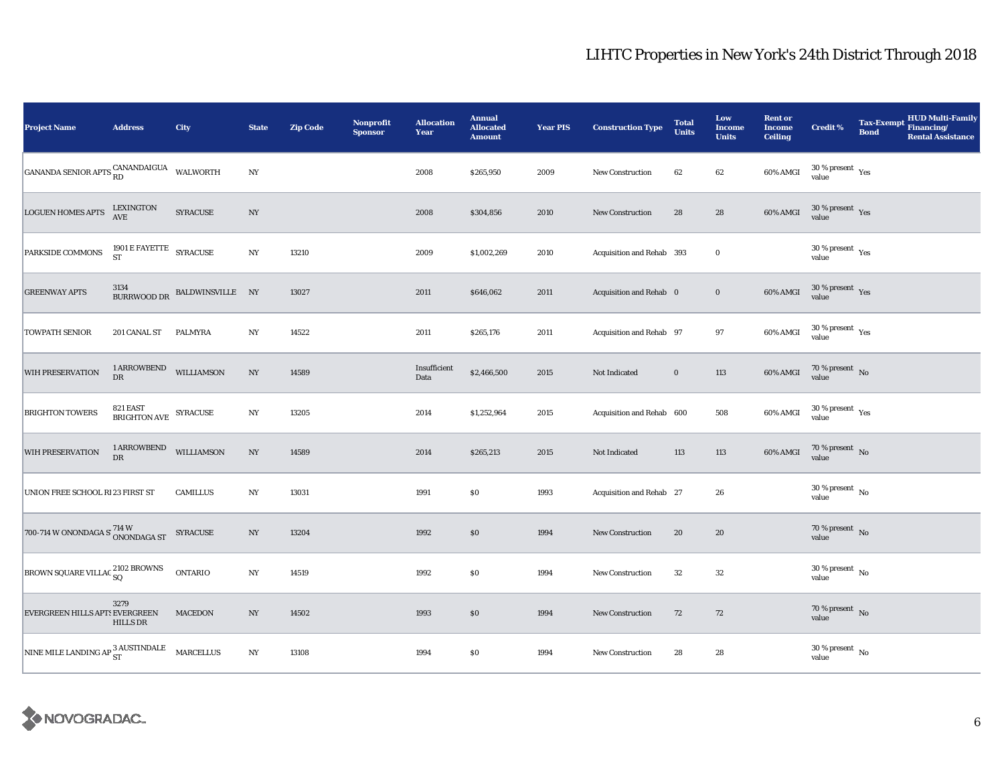| <b>Project Name</b>                               | <b>Address</b>                                                                                                                                                                                                            | City                         | <b>State</b>     | <b>Zip Code</b> | <b>Nonprofit</b><br><b>Sponsor</b> | <b>Allocation</b><br>Year | <b>Annual</b><br><b>Allocated</b><br><b>Amount</b> | <b>Year PIS</b> | <b>Construction Type</b>  | <b>Total</b><br><b>Units</b> | Low<br><b>Income</b><br><b>Units</b> | <b>Rent or</b><br><b>Income</b><br><b>Ceiling</b> | <b>Credit %</b>                      | <b>Bond</b> | HUD Multi-Family<br>Tax-Exempt Financing/<br><b>Rental Assistance</b> |
|---------------------------------------------------|---------------------------------------------------------------------------------------------------------------------------------------------------------------------------------------------------------------------------|------------------------------|------------------|-----------------|------------------------------------|---------------------------|----------------------------------------------------|-----------------|---------------------------|------------------------------|--------------------------------------|---------------------------------------------------|--------------------------------------|-------------|-----------------------------------------------------------------------|
| GANANDA SENIOR APTS CANANDAIGUA WALWORTH          |                                                                                                                                                                                                                           |                              | $_{\mathrm{NY}}$ |                 |                                    | 2008                      | \$265,950                                          | 2009            | <b>New Construction</b>   | 62                           | $62\,$                               | 60% AMGI                                          | $30\,\%$ present $\,$ Yes value      |             |                                                                       |
| <b>LOGUEN HOMES APTS</b>                          | LEXINGTON<br>AVE                                                                                                                                                                                                          | SYRACUSE                     | NY               |                 |                                    | 2008                      | \$304,856                                          | 2010            | <b>New Construction</b>   | 28                           | 28                                   | 60% AMGI                                          | $30\,\%$ present $\,$ Yes value      |             |                                                                       |
| PARKSIDE COMMONS                                  | 1901 E FAYETTE SYRACUSE ST                                                                                                                                                                                                |                              | N <sub>Y</sub>   | 13210           |                                    | 2009                      | \$1,002,269                                        | 2010            | Acquisition and Rehab 393 |                              | $\bf{0}$                             |                                                   | $30\,\%$ present $\,$ Yes value      |             |                                                                       |
| <b>GREENWAY APTS</b>                              |                                                                                                                                                                                                                           | BURRWOOD DR BALDWINSVILLE NY |                  | 13027           |                                    | 2011                      | \$646,062                                          | 2011            | Acquisition and Rehab 0   |                              | $\bf{0}$                             | 60% AMGI                                          | $30\,\%$ present $\,$ Yes value      |             |                                                                       |
| <b>TOWPATH SENIOR</b>                             | 201 CANAL ST                                                                                                                                                                                                              | PALMYRA                      | NY               | 14522           |                                    | 2011                      | \$265,176                                          | 2011            | Acquisition and Rehab 97  |                              | 97                                   | 60% AMGI                                          | $30\,\%$ present $\,$ Yes value      |             |                                                                       |
| WIH PRESERVATION                                  | ${\small \bf 1 \textbf{ AR } \textbf{ROW}\textbf{B} \textbf{END} \quad \textbf{WILLIAMSON} }$<br>$_{\rm DR}$                                                                                                              |                              | NY               | 14589           |                                    | Insufficient<br>Data      | \$2,466,500                                        | 2015            | Not Indicated             | $\bf{0}$                     | 113                                  | 60% AMGI                                          | $70\,\%$ present $\,$ No value       |             |                                                                       |
| <b>BRIGHTON TOWERS</b>                            | 821 EAST<br>$\begin{tabular}{ll} \multicolumn{2}{c}{\multicolumn{2}{c}{\textbf{C}}\times \textbf{C}}\\ \multicolumn{2}{c}{\multicolumn{2}{c}{\textbf{BRIGHTON AVE}}}&\multicolumn{2}{c}{\textbf{SYRACUSE}} \end{tabular}$ |                              | NY               | 13205           |                                    | 2014                      | \$1,252,964                                        | 2015            | Acquisition and Rehab 600 |                              | 508                                  | 60% AMGI                                          | $30\,\%$ present $\,$ Yes value      |             |                                                                       |
| WIH PRESERVATION                                  | 1 ARROWBEND<br>$_{\rm DR}$                                                                                                                                                                                                | <b>WILLIAMSON</b>            | $_{\mathrm{NY}}$ | 14589           |                                    | 2014                      | \$265,213                                          | 2015            | Not Indicated             | 113                          | 113                                  | 60% AMGI                                          | $70\,\%$ present $\,$ No value       |             |                                                                       |
| UNION FREE SCHOOL R123 FIRST ST                   |                                                                                                                                                                                                                           | <b>CAMILLUS</b>              | $_{\mathrm{NY}}$ | 13031           |                                    | 1991                      | \$0                                                | 1993            | Acquisition and Rehab 27  |                              | 26                                   |                                                   | $30$ % present $\,$ No $\,$<br>value |             |                                                                       |
| 700-714 W ONONDAGA S <sup>714 W</sup> ONONDAGA ST |                                                                                                                                                                                                                           | SYRACUSE                     | $_{\mathrm{NY}}$ | 13204           |                                    | 1992                      | \$0                                                | 1994            | <b>New Construction</b>   | 20                           | 20                                   |                                                   | $70\,\%$ present $\,$ No value       |             |                                                                       |
| BROWN SQUARE VILLAC 2102 BROWNS                   |                                                                                                                                                                                                                           | <b>ONTARIO</b>               | $_{\mathrm{NY}}$ | 14519           |                                    | 1992                      | \$0                                                | 1994            | New Construction          | 32                           | 32                                   |                                                   | $30\,\%$ present $\,$ No value       |             |                                                                       |
| EVERGREEN HILLS APTS EVERGREEN                    | 3279<br><b>HILLS DR</b>                                                                                                                                                                                                   | <b>MACEDON</b>               | NY               | 14502           |                                    | 1993                      | \$0                                                | 1994            | New Construction          | 72                           | 72                                   |                                                   | $70$ % present $$\rm{No}$$ value     |             |                                                                       |
| NINE MILE LANDING AP 3 AUSTINDALE MARCELLUS       |                                                                                                                                                                                                                           |                              | N <sub>Y</sub>   | 13108           |                                    | 1994                      | \$0                                                | 1994            | New Construction          | 28                           | 28                                   |                                                   | $30\,\%$ present $\,$ No value       |             |                                                                       |

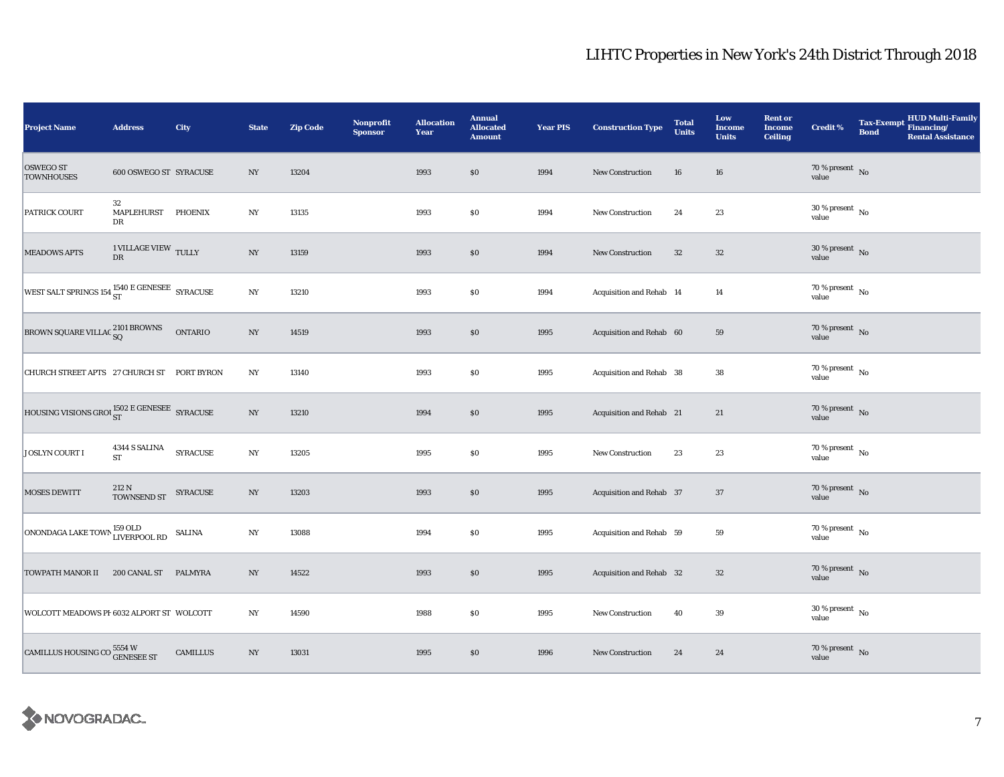| <b>Project Name</b>                                      | <b>Address</b>                  | City            | <b>State</b>     | <b>Zip Code</b> | <b>Nonprofit</b><br><b>Sponsor</b> | <b>Allocation</b><br>Year | <b>Annual</b><br><b>Allocated</b><br><b>Amount</b> | <b>Year PIS</b> | <b>Construction Type</b> | <b>Total</b><br><b>Units</b> | Low<br><b>Income</b><br><b>Units</b> | <b>Rent or</b><br><b>Income</b><br><b>Ceiling</b> | <b>Credit %</b>                          | <b>Bond</b> | Tax-Exempt HUD Multi-Family<br><b>Rental Assistance</b> |
|----------------------------------------------------------|---------------------------------|-----------------|------------------|-----------------|------------------------------------|---------------------------|----------------------------------------------------|-----------------|--------------------------|------------------------------|--------------------------------------|---------------------------------------------------|------------------------------------------|-------------|---------------------------------------------------------|
| <b>OSWEGO ST</b><br><b>TOWNHOUSES</b>                    | 600 OSWEGO ST SYRACUSE          |                 | NY               | 13204           |                                    | 1993                      | \$0                                                | 1994            | New Construction         | 16                           | 16                                   |                                                   | $70\,\%$ present $${\rm No}$$ value      |             |                                                         |
| PATRICK COURT                                            | 32<br>MAPLEHURST PHOENIX<br>DR  |                 | NY               | 13135           |                                    | 1993                      | $\$0$                                              | 1994            | <b>New Construction</b>  | 24                           | 23                                   |                                                   | $30\,\%$ present $_{\, \rm No}$<br>value |             |                                                         |
| <b>MEADOWS APTS</b>                                      | 1 VILLAGE VIEW $\,$ TULLY<br>DR |                 | $_{\mathrm{NY}}$ | 13159           |                                    | 1993                      | \$0                                                | 1994            | New Construction         | 32                           | 32                                   |                                                   | $30\,\%$ present $\,$ No value           |             |                                                         |
| WEST SALT SPRINGS 154 5T STRACUSE                        |                                 |                 | $_{\mathrm{NY}}$ | 13210           |                                    | 1993                      | \$0                                                | 1994            | Acquisition and Rehab 14 |                              | 14                                   |                                                   | 70 % present $\hbox{~No}$<br>value       |             |                                                         |
| BROWN SQUARE VILLAC 2101 BROWNS                          |                                 | <b>ONTARIO</b>  | $_{\mathrm{NY}}$ | 14519           |                                    | 1993                      | \$0                                                | 1995            | Acquisition and Rehab 60 |                              | 59                                   |                                                   | $70\,\%$ present $\,$ No value           |             |                                                         |
| CHURCH STREET APTS 27 CHURCH ST PORT BYRON               |                                 |                 | $_{\mathrm{NY}}$ | 13140           |                                    | 1993                      | \$0                                                | 1995            | Acquisition and Rehab 38 |                              | ${\bf 38}$                           |                                                   | $70\,\%$ present $\,$ No value           |             |                                                         |
| HOUSING VISIONS GROUST E GENESEE SYRACUSE                |                                 |                 | $_{\mathrm{NY}}$ | 13210           |                                    | 1994                      | \$0                                                | 1995            | Acquisition and Rehab 21 |                              | $21\,$                               |                                                   | $70\,\%$ present $\;$ No value           |             |                                                         |
| JOSLYN COURT I                                           | 4344 S SALINA<br><b>ST</b>      | <b>SYRACUSE</b> | $_{\mathrm{NY}}$ | 13205           |                                    | 1995                      | $\$0$                                              | 1995            | <b>New Construction</b>  | 23                           | $\bf 23$                             |                                                   | $70\,\%$ present $\,$ No value           |             |                                                         |
| <b>MOSES DEWITT</b>                                      | 212 N<br>TOWNSEND ST            | SYRACUSE        | $_{\mathrm{NY}}$ | 13203           |                                    | 1993                      | \$0                                                | 1995            | Acquisition and Rehab 37 |                              | 37                                   |                                                   | $70\,\%$ present $\,$ No value           |             |                                                         |
| ONONDAGA LAKE TOWN 159 OLD<br>LIVERPOOL RD               |                                 | <b>SALINA</b>   | $_{\mathrm{NY}}$ | 13088           |                                    | 1994                      | \$0                                                | 1995            | Acquisition and Rehab 59 |                              | 59                                   |                                                   | 70 % present $\hbox{~No}$<br>value       |             |                                                         |
| TOWPATH MANOR II                                         | 200 CANAL ST PALMYRA            |                 | NY               | 14522           |                                    | 1993                      | $\$0$                                              | 1995            | Acquisition and Rehab 32 |                              | $32\,$                               |                                                   | $70\,\%$ present $\,$ No value           |             |                                                         |
| WOLCOTT MEADOWS PI 6032 ALPORT ST WOLCOTT                |                                 |                 | $_{\mathrm{NY}}$ | 14590           |                                    | 1988                      | \$0                                                | 1995            | <b>New Construction</b>  | 40                           | 39                                   |                                                   | $30$ % present $\,$ No $\,$<br>value     |             |                                                         |
| CAMILLUS HOUSING CO $^{5554\,\rm{W}}_{\rm{GENESEE\,ST}}$ |                                 | <b>CAMILLUS</b> | NY               | 13031           |                                    | 1995                      | $\$0$                                              | 1996            | <b>New Construction</b>  | 24                           | 24                                   |                                                   | $70\,\%$ present $\;$ No value           |             |                                                         |

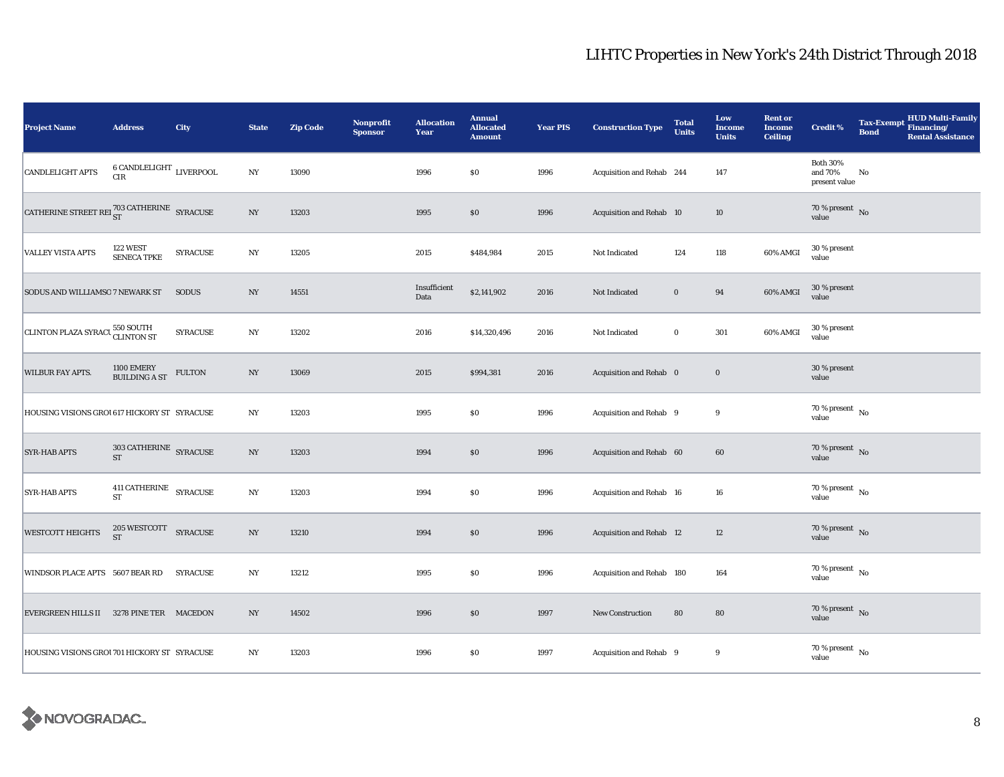| <b>Project Name</b>                                            | <b>Address</b>                             | City            | <b>State</b>     | <b>Zip Code</b> | <b>Nonprofit</b><br><b>Sponsor</b> | <b>Allocation</b><br>Year | <b>Annual</b><br><b>Allocated</b><br><b>Amount</b> | <b>Year PIS</b> | <b>Construction Type</b>  | <b>Total</b><br><b>Units</b> | Low<br><b>Income</b><br><b>Units</b> | <b>Rent or</b><br><b>Income</b><br><b>Ceiling</b> | <b>Credit %</b>                                       | <b>Bond</b> | Tax-Exempt HUD Multi-Family<br><b>Rental Assistance</b> |
|----------------------------------------------------------------|--------------------------------------------|-----------------|------------------|-----------------|------------------------------------|---------------------------|----------------------------------------------------|-----------------|---------------------------|------------------------------|--------------------------------------|---------------------------------------------------|-------------------------------------------------------|-------------|---------------------------------------------------------|
| CANDLELIGHT APTS                                               | $6$ CANDLELIGHT $\,$ LIVERPOOL CIR         |                 | $_{\mathrm{NY}}$ | 13090           |                                    | 1996                      | \$0                                                | 1996            | Acquisition and Rehab 244 |                              | 147                                  |                                                   | <b>Both 30%</b><br>and 70%<br>present value           | No          |                                                         |
| CATHERINE STREET REI $^{703\,\rm CATHERINE}_{\rm ST}$ SYRACUSE |                                            |                 | $_{\mathrm{NY}}$ | 13203           |                                    | 1995                      | \$0                                                | 1996            | Acquisition and Rehab 10  |                              | 10                                   |                                                   | $70$ % present $\,$ No $\,$<br>value                  |             |                                                         |
| VALLEY VISTA APTS                                              | 122 WEST<br><b>SENECA TPKE</b>             | <b>SYRACUSE</b> | $_{\mathrm{NY}}$ | 13205           |                                    | 2015                      | \$484,984                                          | 2015            | Not Indicated             | 124                          | 118                                  | 60% AMGI                                          | 30 % present<br>value                                 |             |                                                         |
| SODUS AND WILLIAMSO 7 NEWARK ST                                |                                            | <b>SODUS</b>    | NY               | 14551           |                                    | Insufficient<br>Data      | \$2,141,902                                        | 2016            | Not Indicated             | $\bf{0}$                     | 94                                   | 60% AMGI                                          | 30 % present<br>value                                 |             |                                                         |
| CLINTON PLAZA SYRACU 550 SOUTH                                 |                                            | <b>SYRACUSE</b> | $_{\mathrm{NY}}$ | 13202           |                                    | 2016                      | \$14,320,496                                       | 2016            | Not Indicated             | $\bf{0}$                     | 301                                  | 60% AMGI                                          | 30 % present<br>value                                 |             |                                                         |
| <b>WILBUR FAY APTS.</b>                                        | 1100 EMERY<br>BUILDING A ST                | <b>FULTON</b>   | $_{\mathrm{NY}}$ | 13069           |                                    | 2015                      | \$994,381                                          | 2016            | Acquisition and Rehab 0   |                              | $\mathbf 0$                          |                                                   | 30 % present<br>value                                 |             |                                                         |
| HOUSING VISIONS GROU617 HICKORY ST SYRACUSE                    |                                            |                 | $_{\mathrm{NY}}$ | 13203           |                                    | 1995                      | \$0                                                | 1996            | Acquisition and Rehab 9   |                              | 9                                    |                                                   | 70 % present $\hbox{~No}$<br>value                    |             |                                                         |
| <b>SYR-HAB APTS</b>                                            | $303$ CATHERINE $\,$ SYRACUSE<br><b>ST</b> |                 | $_{\mathrm{NY}}$ | 13203           |                                    | 1994                      | $\$0$                                              | 1996            | Acquisition and Rehab 60  |                              | 60                                   |                                                   | $70\,\%$ present $\,$ No value                        |             |                                                         |
| <b>SYR-HAB APTS</b>                                            | $411$ CATHERINE $$\sf SYRACUSE$$           |                 | $_{\mathrm{NY}}$ | 13203           |                                    | 1994                      | \$0                                                | 1996            | Acquisition and Rehab 16  |                              | 16                                   |                                                   | $70\,\%$ present $\overline{\phantom{1}}$ No<br>value |             |                                                         |
| <b>WESTCOTT HEIGHTS</b>                                        | $205\,{\rm WESTCOTT} \quad$ SYRACUSE ST    |                 | NY               | 13210           |                                    | 1994                      | \$0                                                | 1996            | Acquisition and Rehab 12  |                              | 12                                   |                                                   | $70\,\%$ present $\,$ No value                        |             |                                                         |
| WINDSOR PLACE APTS 5607 BEAR RD                                |                                            | <b>SYRACUSE</b> | NY               | 13212           |                                    | 1995                      | \$0                                                | 1996            | Acquisition and Rehab 180 |                              | 164                                  |                                                   | $70\,\%$ present $\,$ No value                        |             |                                                         |
| EVERGREEN HILLS II 3278 PINE TER MACEDON                       |                                            |                 | NY               | 14502           |                                    | 1996                      | \$0                                                | 1997            | <b>New Construction</b>   | 80                           | 80                                   |                                                   | $70\,\%$ present $\,$ No value                        |             |                                                         |
| HOUSING VISIONS GROU 701 HICKORY ST SYRACUSE                   |                                            |                 | NY               | 13203           |                                    | 1996                      | $\$0$                                              | 1997            | Acquisition and Rehab 9   |                              | 9                                    |                                                   | $70$ % present $\,$ No $\,$<br>value                  |             |                                                         |

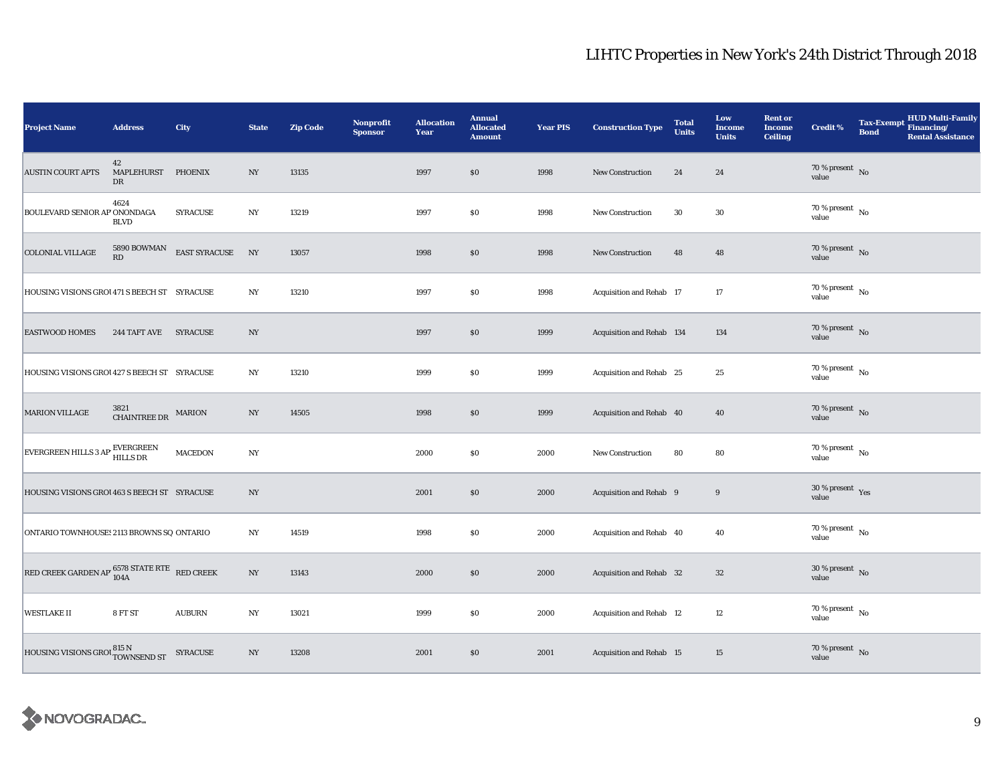| <b>Project Name</b>                                               | <b>Address</b>                       | City             | <b>State</b>     | <b>Zip Code</b> | Nonprofit<br><b>Sponsor</b> | <b>Allocation</b><br>Year | <b>Annual</b><br><b>Allocated</b><br><b>Amount</b> | <b>Year PIS</b> | <b>Construction Type</b>  | <b>Total</b><br><b>Units</b> | Low<br><b>Income</b><br><b>Units</b> | <b>Rent or</b><br><b>Income</b><br><b>Ceiling</b> | <b>Credit %</b>                    | Tax-Exempt HUD Multi-Family<br><b>Bond</b><br><b>Rental Assistance</b> |
|-------------------------------------------------------------------|--------------------------------------|------------------|------------------|-----------------|-----------------------------|---------------------------|----------------------------------------------------|-----------------|---------------------------|------------------------------|--------------------------------------|---------------------------------------------------|------------------------------------|------------------------------------------------------------------------|
| <b>AUSTIN COURT APTS</b>                                          | 42<br>MAPLEHURST PHOENIX<br>DR       |                  | NY               | 13135           |                             | 1997                      | \$0                                                | 1998            | <b>New Construction</b>   | 24                           | 24                                   |                                                   | $70\,\%$ present $\,$ No value     |                                                                        |
| BOULEVARD SENIOR AP ONONDAGA                                      | 4624<br><b>BLVD</b>                  | <b>SYRACUSE</b>  | NY               | 13219           |                             | 1997                      | \$0                                                | 1998            | New Construction          | 30                           | 30                                   |                                                   | 70 % present $\,$ No $\,$<br>value |                                                                        |
| <b>COLONIAL VILLAGE</b>                                           | 5890 BOWMAN<br>RD                    | EAST SYRACUSE NY |                  | 13057           |                             | 1998                      | $\$0$                                              | 1998            | New Construction          | 48                           | 48                                   |                                                   | $70\,\%$ present $\,$ No value     |                                                                        |
| HOUSING VISIONS GROU 471 S BEECH ST SYRACUSE                      |                                      |                  | NY               | 13210           |                             | 1997                      | \$0                                                | 1998            | Acquisition and Rehab 17  |                              | $17\,$                               |                                                   | $70\,\%$ present $\,$ No value     |                                                                        |
| <b>EASTWOOD HOMES</b>                                             | 244 TAFT AVE SYRACUSE                |                  | NY               |                 |                             | 1997                      | \$0                                                | 1999            | Acquisition and Rehab 134 |                              | 134                                  |                                                   | $70\,\%$ present $\,$ No value     |                                                                        |
| HOUSING VISIONS GROU 427 S BEECH ST SYRACUSE                      |                                      |                  | N <sub>Y</sub>   | 13210           |                             | 1999                      | $\$0$                                              | 1999            | Acquisition and Rehab 25  |                              | 25                                   |                                                   | $70\,\%$ present $\,$ No value     |                                                                        |
| <b>MARION VILLAGE</b>                                             | $3821$ CHAINTREE DR $\,$ MARION $\,$ |                  | NY               | 14505           |                             | 1998                      | \$0                                                | 1999            | Acquisition and Rehab 40  |                              | 40                                   |                                                   | $70\,\%$ present $\;$ No value     |                                                                        |
| EVERGREEN HILLS 3 AP HILLS DR                                     |                                      | <b>MACEDON</b>   | $_{\mathrm{NY}}$ |                 |                             | 2000                      | $\$0$                                              | 2000            | <b>New Construction</b>   | 80                           | 80                                   |                                                   | $70\,\%$ present $\,$ No value     |                                                                        |
| HOUSING VISIONS GROU 463 S BEECH ST SYRACUSE                      |                                      |                  | NY               |                 |                             | 2001                      | \$0                                                | 2000            | Acquisition and Rehab 9   |                              | $\boldsymbol{9}$                     |                                                   | 30 % present Yes<br>value          |                                                                        |
| ONTARIO TOWNHOUSES 2113 BROWNS SQ ONTARIO                         |                                      |                  | $_{\mathrm{NY}}$ | 14519           |                             | 1998                      | \$0                                                | 2000            | Acquisition and Rehab 40  |                              | 40                                   |                                                   | 70 % present $\hbox{~No}$<br>value |                                                                        |
| RED CREEK GARDEN AP $^{6578}_{104\mathrm{A}}$ STATE RTE RED CREEK |                                      |                  | $_{\mathrm{NY}}$ | 13143           |                             | 2000                      | $\$0$                                              | 2000            | Acquisition and Rehab 32  |                              | $32\,$                               |                                                   | $30\,\%$ present $\,$ No value     |                                                                        |
| <b>WESTLAKE II</b>                                                | 8 FT ST                              | <b>AUBURN</b>    | $_{\mathrm{NY}}$ | 13021           |                             | 1999                      | \$0                                                | 2000            | Acquisition and Rehab 12  |                              | 12                                   |                                                   | 70 % present $\hbox{~No}$<br>value |                                                                        |
| HOUSING VISIONS GROUTOWNSEND ST SYRACUSE                          |                                      |                  | $_{\mathrm{NY}}$ | 13208           |                             | 2001                      | $\$0$                                              | 2001            | Acquisition and Rehab 15  |                              | 15                                   |                                                   | $70\,\%$ present $\;$ No value     |                                                                        |

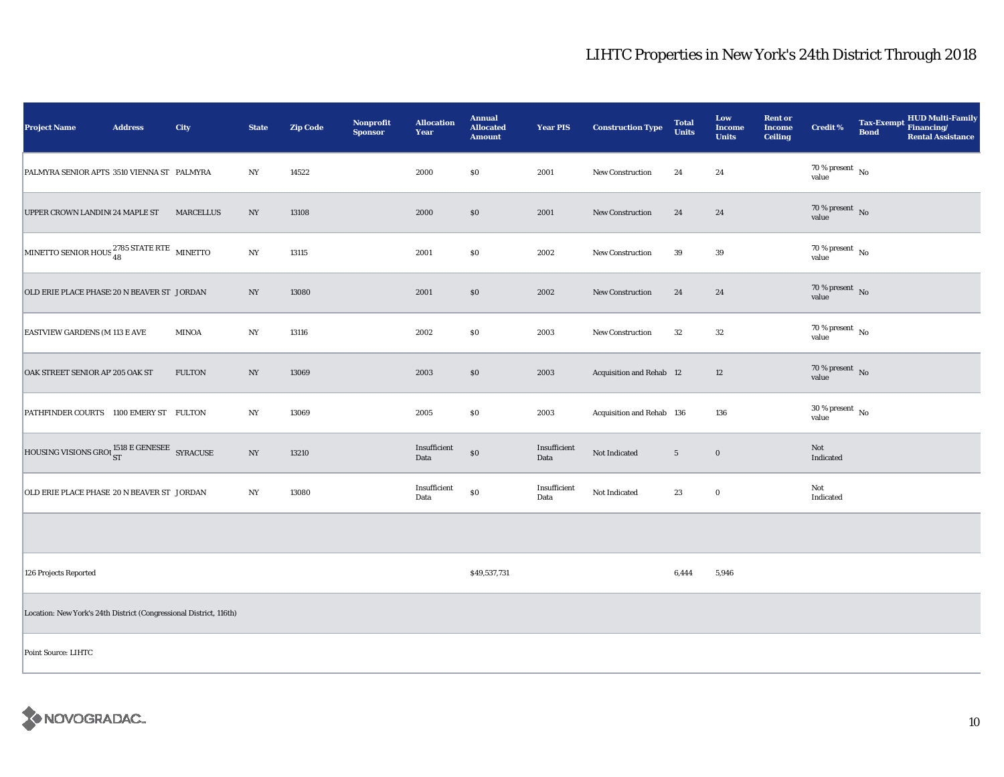| <b>Project Name</b>                                                | <b>Address</b> | City             | <b>State</b>   | <b>Zip Code</b> | Nonprofit<br><b>Sponsor</b> | <b>Allocation</b><br>Year | <b>Annual</b><br><b>Allocated</b><br><b>Amount</b> | <b>Year PIS</b>      | <b>Construction Type</b>  | <b>Total</b><br><b>Units</b> | Low<br>Income<br><b>Units</b> | <b>Rent or</b><br><b>Income</b><br><b>Ceiling</b> | <b>Credit %</b>                     | <b>Bond</b> | <b>HUD Multi-Family</b><br>Tax-Exempt Financing/<br><b>Rental Assistance</b> |
|--------------------------------------------------------------------|----------------|------------------|----------------|-----------------|-----------------------------|---------------------------|----------------------------------------------------|----------------------|---------------------------|------------------------------|-------------------------------|---------------------------------------------------|-------------------------------------|-------------|------------------------------------------------------------------------------|
| PALMYRA SENIOR APTS 3510 VIENNA ST PALMYRA                         |                |                  | NY             | 14522           |                             | 2000                      | \$0                                                | 2001                 | <b>New Construction</b>   | 24                           | 24                            |                                                   | 70 % present $\hbox{~No}$<br>value  |             |                                                                              |
| UPPER CROWN LANDIN(24 MAPLE ST                                     |                | <b>MARCELLUS</b> | NY             | 13108           |                             | 2000                      | $\$0$                                              | 2001                 | <b>New Construction</b>   | 24                           | 24                            |                                                   | $70\,\%$ present $\,$ No value      |             |                                                                              |
| MINETTO SENIOR HOUS <sup>2785</sup> STATE RTE MINETTO              |                |                  | N <sub>Y</sub> | 13115           |                             | 2001                      | \$0                                                | 2002                 | New Construction          | 39                           | 39                            |                                                   | 70 % present $\hbox{~No}$<br>value  |             |                                                                              |
| OLD ERIE PLACE PHASE: 20 N BEAVER ST JORDAN                        |                |                  | NY             | 13080           |                             | 2001                      | \$0                                                | 2002                 | <b>New Construction</b>   | 24                           | 24                            |                                                   | $70\,\%$ present $\,$ No value      |             |                                                                              |
| <b>EASTVIEW GARDENS (M 113 E AVE</b>                               |                | <b>MINOA</b>     | NY             | 13116           |                             | 2002                      | \$0                                                | 2003                 | New Construction          | 32                           | 32                            |                                                   | $70\,\%$ present $\,$ No value      |             |                                                                              |
| OAK STREET SENIOR AP 205 OAK ST                                    |                | <b>FULTON</b>    | NY             | 13069           |                             | 2003                      | \$0                                                | 2003                 | Acquisition and Rehab 12  |                              | 12                            |                                                   | $70\,\%$ present $${\rm No}$$ value |             |                                                                              |
| PATHFINDER COURTS 1100 EMERY ST FULTON                             |                |                  | NY             | 13069           |                             | 2005                      | \$0                                                | 2003                 | Acquisition and Rehab 136 |                              | 136                           |                                                   | $30\,\%$ present $\,$ No value      |             |                                                                              |
| HOUSING VISIONS GROUST E GENESEE SYRACUSE                          |                |                  | NY             | 13210           |                             | Insufficient<br>Data      | $\$0$                                              | Insufficient<br>Data | Not Indicated             | $5\phantom{.0}$              | $\bf{0}$                      |                                                   | Not<br>Indicated                    |             |                                                                              |
| OLD ERIE PLACE PHASE 20 N BEAVER ST JORDAN                         |                |                  | N <sub>Y</sub> | 13080           |                             | Insufficient<br>Data      | $\$0$                                              | Insufficient<br>Data | Not Indicated             | 23                           | $\mathbf 0$                   |                                                   | Not<br>Indicated                    |             |                                                                              |
|                                                                    |                |                  |                |                 |                             |                           |                                                    |                      |                           |                              |                               |                                                   |                                     |             |                                                                              |
| 126 Projects Reported                                              |                |                  |                |                 |                             |                           | \$49,537,731                                       |                      |                           | 6,444                        | 5,946                         |                                                   |                                     |             |                                                                              |
| Location: New York's 24th District (Congressional District, 116th) |                |                  |                |                 |                             |                           |                                                    |                      |                           |                              |                               |                                                   |                                     |             |                                                                              |
| Point Source: LIHTC                                                |                |                  |                |                 |                             |                           |                                                    |                      |                           |                              |                               |                                                   |                                     |             |                                                                              |